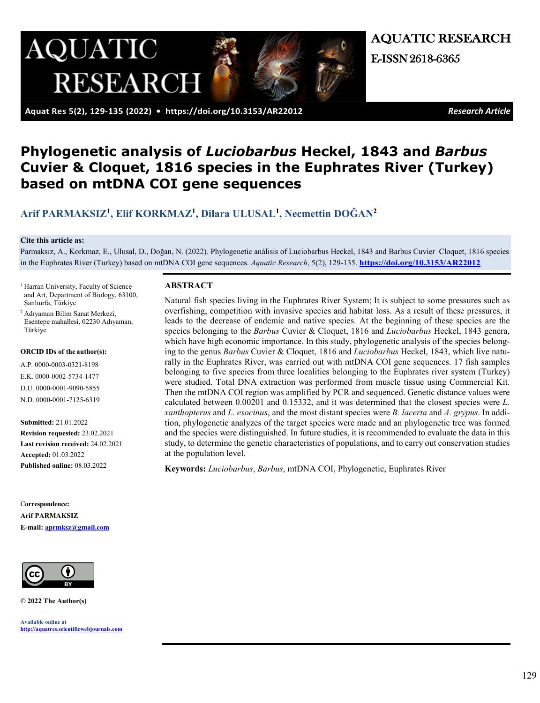

AQUATIC RESEARCH E-ISSN 2618-6365

 **Aquat Res 5(2), 129-135 (2022) • <https://doi.org/10.3153/AR22012>** *Research Article*

# **Phylogenetic analysis of** *Luciobarbus* **Heckel, 1843 and** *Barbus* **Cuvier & Cloquet, 1816 species in the Euphrates River (Turkey) based on mtDNA COI gene sequences**

# **[Arif PARMAKSIZ1](https://orcid.org/0000-0003-0321-8198), [Elif KORKMAZ1](https://orcid.org/0000-0002-5734-1477), [Dilara ULUSAL1](https://orcid.org/0000-0001-9090-5855), N[ecmettin DOĞAN](https://orcid.org/0000-0001-7125-6319)<sup>2</sup>**

#### **Cite this article as:**

Parmaksız, A., Korkmaz, E., Ulusal, D., Doğan, N. (2022). Phylogenetic análisis of Luciobarbus Heckel, 1843 and Barbus Cuvier Cloquet, 1816 species in the Euphrates River (Turkey) based on mtDNA COI gene sequences. *Aquatic Research*, 5(2), 129-135. **<https://doi.org/10.3153/AR22012>**

- <sup>1</sup> Harran University, Faculty of Science and Art, Department of Biology, 63100, Şanlıurfa, Türkiye
- <sup>2</sup> Adıyaman Bilim Sanat Merkezi, Esentepe mahallesi, 02230 Adıyaman, Türkiye

#### **ORCID IDs of the author(s):**

A.P. 0000-0003-0321-8198 E.K. 0000-0002-5734-1477 D.U. 0000-0001-9090-5855 N.D. 0000-0001-7125-6319

**Submitted:** 21.01.2022 **Revision requested:** 23.02.2021 **Last revision received:** 24.02.2021 **Accepted:** 01.03.2022 **Published online:** 08.03.2022

C**orrespondence: Arif PARMAKSIZ E-mail: [aprmksz@gmail.com](mailto:aprmksz@gmail.com)**



**© 2022 The Author(s)**

**Available online at [http://aquatres.scientificwebjournals.com](http://aquatres.scientificwebjournals.com/)**

#### **ABSTRACT**

Natural fish species living in the Euphrates River System; It is subject to some pressures such as overfishing, competition with invasive species and habitat loss. As a result of these pressures, it leads to the decrease of endemic and native species. At the beginning of these species are the species belonging to the *Barbus* Cuvier & Cloquet, 1816 and *Luciobarbus* Heckel, 1843 genera, which have high economic importance. In this study, phylogenetic analysis of the species belonging to the genus *Barbus* Cuvier & Cloquet, 1816 and *Luciobarbus* Heckel, 1843, which live naturally in the Euphrates River, was carried out with mtDNA COI gene sequences. 17 fish samples belonging to five species from three localities belonging to the Euphrates river system (Turkey) were studied. Total DNA extraction was performed from muscle tissue using Commercial Kit. Then the mtDNA COI region was amplified by PCR and sequenced. Genetic distance values were calculated between 0.00201 and 0.15332, and it was determined that the closest species were *L. xanthopterus* and *L. esocinus*, and the most distant species were *B. lacerta* and *A. grypus*. In addition, phylogenetic analyzes of the target species were made and an phylogenetic tree was formed and the species were distinguished. In future studies, it is recommended to evaluate the data in this study, to determine the genetic characteristics of populations, and to carry out conservation studies at the population level.

**Keywords:** *Luciobarbus*, *Barbus*, mtDNA COI, Phylogenetic, Euphrates River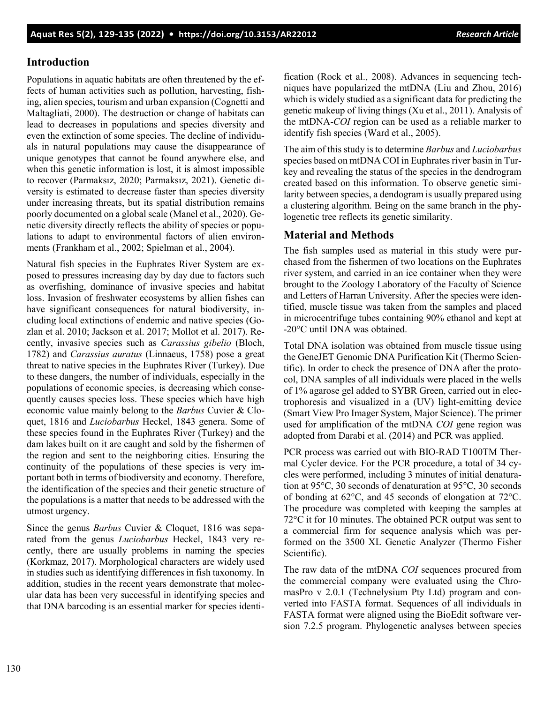# **Introduction**

Populations in aquatic habitats are often threatened by the effects of human activities such as pollution, harvesting, fishing, alien species, tourism and urban expansion (Cognetti and Maltagliati, 2000). The destruction or change of habitats can lead to decreases in populations and species diversity and even the extinction of some species. The decline of individuals in natural populations may cause the disappearance of unique genotypes that cannot be found anywhere else, and when this genetic information is lost, it is almost impossible to recover (Parmaksız, 2020; Parmaksız, 2021). Genetic diversity is estimated to decrease faster than species diversity under increasing threats, but its spatial distribution remains poorly documented on a global scale (Manel et al., 2020). Genetic diversity directly reflects the ability of species or populations to adapt to environmental factors of alien environments (Frankham et al., 2002; Spielman et al., 2004).

Natural fish species in the Euphrates River System are exposed to pressures increasing day by day due to factors such as overfishing, dominance of invasive species and habitat loss. Invasion of freshwater ecosystems by allien fishes can have significant consequences for natural biodiversity, including local extinctions of endemic and native species (Gozlan et al. 2010; Jackson et al. 2017; Mollot et al. 2017). Recently, invasive species such as *Carassius gibelio* (Bloch, 1782) and *Carassius auratus* (Linnaeus, 1758) pose a great threat to native species in the Euphrates River (Turkey). Due to these dangers, the number of individuals, especially in the populations of economic species, is decreasing which consequently causes species loss. These species which have high economic value mainly belong to the *Barbus* Cuvier & Cloquet, 1816 and *Luciobarbus* Heckel, 1843 genera. Some of these species found in the Euphrates River (Turkey) and the dam lakes built on it are caught and sold by the fishermen of the region and sent to the neighboring cities. Ensuring the continuity of the populations of these species is very important both in terms of biodiversity and economy. Therefore, the identification of the species and their genetic structure of the populations is a matter that needs to be addressed with the utmost urgency.

Since the genus *Barbus* Cuvier & Cloquet, 1816 was separated from the genus *Luciobarbus* Heckel, 1843 very recently, there are usually problems in naming the species (Korkmaz, 2017). Morphological characters are widely used in studies such as identifying differences in fish taxonomy. In addition, studies in the recent years demonstrate that molecular data has been very successful in identifying species and that DNA barcoding is an essential marker for species identification (Rock et al., 2008). Advances in sequencing techniques have popularized the mtDNA (Liu and Zhou, 2016) which is widely studied as a significant data for predicting the genetic makeup of living things (Xu et al., 2011). Analysis of the mtDNA-*COI* region can be used as a reliable marker to identify fish species (Ward et al., 2005).

The aim of this study is to determine *Barbus* and *Luciobarbus* species based on mtDNA COI in Euphrates river basin in Turkey and revealing the status of the species in the dendrogram created based on this information. To observe genetic similarity between species, a dendogram is usually prepared using a clustering algorithm. Being on the same branch in the phylogenetic tree reflects its genetic similarity.

## **Material and Methods**

The fish samples used as material in this study were purchased from the fishermen of two locations on the Euphrates river system, and carried in an ice container when they were brought to the Zoology Laboratory of the Faculty of Science and Letters of Harran University. After the species were identified, muscle tissue was taken from the samples and placed in microcentrifuge tubes containing 90% ethanol and kept at -20°C until DNA was obtained.

Total DNA isolation was obtained from muscle tissue using the GeneJET Genomic DNA Purification Kit (Thermo Scientific). In order to check the presence of DNA after the protocol, DNA samples of all individuals were placed in the wells of 1% agarose gel added to SYBR Green, carried out in electrophoresis and visualized in a (UV) light-emitting device (Smart View Pro Imager System, Major Science). The primer used for amplification of the mtDNA *COI* gene region was adopted from Darabi et al. (2014) and PCR was applied.

PCR process was carried out with BIO-RAD T100TM Thermal Cycler device. For the PCR procedure, a total of 34 cycles were performed, including 3 minutes of initial denaturation at 95°C, 30 seconds of denaturation at 95°C, 30 seconds of bonding at 62°C, and 45 seconds of elongation at 72°C. The procedure was completed with keeping the samples at 72°C it for 10 minutes. The obtained PCR output was sent to a commercial firm for sequence analysis which was performed on the 3500 XL Genetic Analyzer (Thermo Fisher Scientific).

The raw data of the mtDNA *COI* sequences procured from the commercial company were evaluated using the ChromasPro v 2.0.1 (Technelysium Pty Ltd) program and converted into FASTA format. Sequences of all individuals in FASTA format were aligned using the BioEdit software version 7.2.5 program. Phylogenetic analyses between species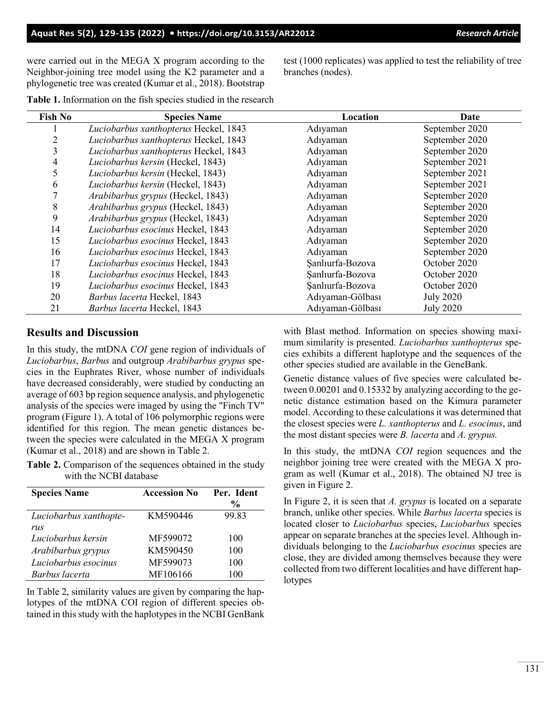were carried out in the MEGA X program according to the Neighbor-joining tree model using the K2 parameter and a phylogenetic tree was created (Kumar et al., 2018). Bootstrap test (1000 replicates) was applied to test the reliability of tree branches (nodes).

| <b>Fish No</b> | <b>Species Name</b>                      | Location         | Date             |
|----------------|------------------------------------------|------------------|------------------|
|                | Luciobarbus xanthopterus Heckel, 1843    | Adıyaman         | September 2020   |
| 2              | Luciobarbus xanthopterus Heckel, 1843    | Adıyaman         | September 2020   |
| 3              | Luciobarbus xanthopterus Heckel, 1843    | Adıyaman         | September 2020   |
| 4              | Luciobarbus kersin (Heckel, 1843)        | Adıyaman         | September 2021   |
| 5              | Luciobarbus kersin (Heckel, 1843)        | Adıyaman         | September 2021   |
| 6              | Luciobarbus kersin (Heckel, 1843)        | Adıyaman         | September 2021   |
| 7              | <i>Arabibarbus grypus</i> (Heckel, 1843) | Adıyaman         | September 2020   |
| 8              | Arabibarbus grypus (Heckel, 1843)        | Adıyaman         | September 2020   |
| 9              | Arabibarbus grypus (Heckel, 1843)        | Adıyaman         | September 2020   |
| 14             | Luciobarbus esocinus Heckel, 1843        | Adıyaman         | September 2020   |
| 15             | Luciobarbus esocinus Heckel, 1843        | Adıyaman         | September 2020   |
| 16             | Luciobarbus esocinus Heckel, 1843        | Adıyaman         | September 2020   |
| 17             | Luciobarbus esocinus Heckel, 1843        | Sanlıurfa-Bozova | October 2020     |
| 18             | Luciobarbus esocinus Heckel, 1843        | Sanlıurfa-Bozova | October 2020     |
| 19             | Luciobarbus esocinus Heckel, 1843        | Sanlıurfa-Bozova | October 2020     |
| 20             | Barbus lacerta Heckel, 1843              | Adıyaman-Gölbası | <b>July 2020</b> |

21 *Barbus lacerta* Heckel, 1843 Adıyaman-Gölbası July 2020

**Table 1.** Information on the fish species studied in the research

### **Results and Discussion**

In this study, the mtDNA *COI* gene region of individuals of *Luciobarbus*, *Barbus* and outgroup *Arabibarbus grypus* species in the Euphrates River, whose number of individuals have decreased considerably, were studied by conducting an average of 603 bp region sequence analysis, and phylogenetic analysis of the species were imaged by using the "Finch TV" program (Figure 1). A total of 106 polymorphic regions were identified for this region. The mean genetic distances between the species were calculated in the MEGA X program (Kumar et al., 2018) and are shown in Table 2.

**Table 2.** Comparison of the sequences obtained in the study with the NCBI database

| <b>Species Name</b>    | <b>Accession No</b> | Per. Ident<br>$\frac{0}{0}$ |
|------------------------|---------------------|-----------------------------|
| Luciobarbus xanthopte- | KM590446            | 99.83                       |
| rus                    |                     |                             |
| Luciobarbus kersin     | MF599072            | 100                         |
| Arabibarbus grypus     | KM590450            | 100                         |
| Luciobarbus esocinus   | MF599073            | 100                         |
| Barbus lacerta         | MF106166            | 100                         |

In Table 2, similarity values are given by comparing the haplotypes of the mtDNA COI region of different species obtained in this study with the haplotypes in the NCBI GenBank with Blast method. Information on species showing maximum similarity is presented. *Luciobarbus xanthopterus* species exhibits a different haplotype and the sequences of the other species studied are available in the GeneBank.

Genetic distance values of five species were calculated between 0.00201 and 0.15332 by analyzing according to the genetic distance estimation based on the Kimura parameter model. According to these calculations it was determined that the closest species were *L. xanthopterus* and *L. esocinus*, and the most distant species were *B. lacerta* and *A. grypus.*

In this study, the mtDNA *COI* region sequences and the neighbor joining tree were created with the MEGA X program as well (Kumar et al., 2018). The obtained NJ tree is given in Figure 2.

In Figure 2, it is seen that *A. grypus* is located on a separate branch, unlike other species. While *Barbus lacerta* species is located closer to *Luciobarbus* species, *Luciobarbus* species appear on separate branches at the species level. Although individuals belonging to the *Luciobarbus esocinus* species are close, they are divided among themselves because they were collected from two different localities and have different haplotypes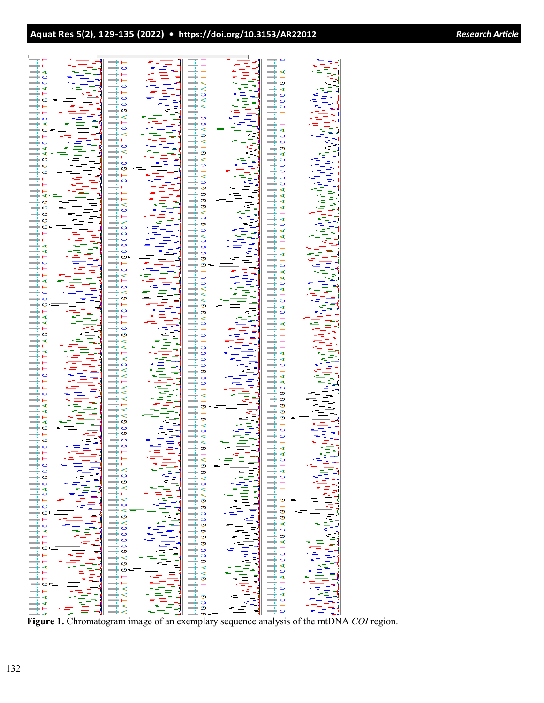| Research Article |  |  |  |
|------------------|--|--|--|
|                  |  |  |  |
|                  |  |  |  |
|                  |  |  |  |

| Н. Д. 1999 года стара по стара в стара при стара в стара в стара потала то со стара в себера стара в стара в с<br>На транста стара со стара в стара на стара в тала стара в себера то тала та со стара в себера в себера в себер |       |               |               |                            | ANAA HANDAYAYAA HAANA BADADADA UU AHAA HADADADADA HA |                  | <u>a MANA SER A MANA MANA A SER A SER A SER A SER A SER A SER A SER A SER A SER A SER A SER A SER A SER A SER A S</u> |
|----------------------------------------------------------------------------------------------------------------------------------------------------------------------------------------------------------------------------------|-------|---------------|---------------|----------------------------|------------------------------------------------------|------------------|-----------------------------------------------------------------------------------------------------------------------|
|                                                                                                                                                                                                                                  |       |               |               |                            |                                                      |                  |                                                                                                                       |
|                                                                                                                                                                                                                                  |       |               |               |                            |                                                      |                  |                                                                                                                       |
|                                                                                                                                                                                                                                  |       |               |               |                            |                                                      |                  |                                                                                                                       |
|                                                                                                                                                                                                                                  |       |               |               |                            |                                                      |                  |                                                                                                                       |
|                                                                                                                                                                                                                                  |       |               |               |                            |                                                      |                  |                                                                                                                       |
|                                                                                                                                                                                                                                  |       |               |               |                            |                                                      |                  |                                                                                                                       |
|                                                                                                                                                                                                                                  |       |               |               |                            |                                                      |                  |                                                                                                                       |
|                                                                                                                                                                                                                                  |       |               |               |                            |                                                      |                  |                                                                                                                       |
|                                                                                                                                                                                                                                  |       |               |               |                            |                                                      |                  |                                                                                                                       |
|                                                                                                                                                                                                                                  |       |               |               |                            |                                                      |                  |                                                                                                                       |
|                                                                                                                                                                                                                                  |       |               |               |                            |                                                      |                  |                                                                                                                       |
|                                                                                                                                                                                                                                  |       |               |               |                            |                                                      |                  |                                                                                                                       |
|                                                                                                                                                                                                                                  |       |               |               |                            |                                                      |                  |                                                                                                                       |
|                                                                                                                                                                                                                                  |       |               |               |                            |                                                      |                  |                                                                                                                       |
|                                                                                                                                                                                                                                  |       |               |               |                            |                                                      |                  |                                                                                                                       |
|                                                                                                                                                                                                                                  |       |               |               |                            |                                                      |                  |                                                                                                                       |
|                                                                                                                                                                                                                                  |       |               |               |                            |                                                      |                  |                                                                                                                       |
|                                                                                                                                                                                                                                  |       |               |               |                            |                                                      |                  |                                                                                                                       |
|                                                                                                                                                                                                                                  |       |               |               |                            |                                                      |                  |                                                                                                                       |
|                                                                                                                                                                                                                                  |       |               |               |                            |                                                      |                  |                                                                                                                       |
|                                                                                                                                                                                                                                  |       |               |               |                            |                                                      |                  |                                                                                                                       |
|                                                                                                                                                                                                                                  |       |               |               |                            |                                                      |                  |                                                                                                                       |
|                                                                                                                                                                                                                                  |       |               |               |                            |                                                      |                  |                                                                                                                       |
|                                                                                                                                                                                                                                  |       |               |               |                            |                                                      |                  |                                                                                                                       |
|                                                                                                                                                                                                                                  |       |               |               |                            |                                                      |                  |                                                                                                                       |
|                                                                                                                                                                                                                                  |       |               |               |                            |                                                      |                  |                                                                                                                       |
|                                                                                                                                                                                                                                  |       |               |               |                            |                                                      |                  |                                                                                                                       |
|                                                                                                                                                                                                                                  |       |               |               |                            |                                                      |                  |                                                                                                                       |
|                                                                                                                                                                                                                                  |       |               |               |                            |                                                      |                  |                                                                                                                       |
|                                                                                                                                                                                                                                  |       |               |               |                            |                                                      |                  |                                                                                                                       |
|                                                                                                                                                                                                                                  |       |               |               |                            |                                                      |                  |                                                                                                                       |
|                                                                                                                                                                                                                                  |       |               |               |                            |                                                      |                  |                                                                                                                       |
|                                                                                                                                                                                                                                  |       |               |               |                            |                                                      |                  |                                                                                                                       |
|                                                                                                                                                                                                                                  |       |               |               |                            |                                                      |                  |                                                                                                                       |
|                                                                                                                                                                                                                                  |       |               |               | $\rightarrow$ $\leftarrow$ |                                                      | $\hspace{0.1mm}$ |                                                                                                                       |
|                                                                                                                                                                                                                                  |       |               |               | $\rightarrow$ $\prec$      |                                                      |                  |                                                                                                                       |
|                                                                                                                                                                                                                                  |       |               |               | $\div$ 0                   |                                                      |                  |                                                                                                                       |
|                                                                                                                                                                                                                                  |       |               |               |                            |                                                      |                  |                                                                                                                       |
|                                                                                                                                                                                                                                  |       |               |               | ‡ং<br>⋖                    |                                                      |                  |                                                                                                                       |
|                                                                                                                                                                                                                                  |       |               |               |                            |                                                      |                  |                                                                                                                       |
|                                                                                                                                                                                                                                  |       |               |               |                            |                                                      |                  |                                                                                                                       |
|                                                                                                                                                                                                                                  |       |               |               |                            |                                                      |                  |                                                                                                                       |
|                                                                                                                                                                                                                                  |       |               |               |                            |                                                      |                  |                                                                                                                       |
|                                                                                                                                                                                                                                  |       |               |               |                            |                                                      |                  |                                                                                                                       |
|                                                                                                                                                                                                                                  | Walla |               | MARANDA, IANA | <br> 2AACOOOOOOOOOOOO      | ANAHAA DANAHA DANAHA                                 |                  | WWWWW.co.co.kr                                                                                                        |
|                                                                                                                                                                                                                                  |       |               |               |                            |                                                      |                  |                                                                                                                       |
|                                                                                                                                                                                                                                  |       |               |               |                            |                                                      |                  |                                                                                                                       |
|                                                                                                                                                                                                                                  |       |               |               |                            |                                                      |                  |                                                                                                                       |
|                                                                                                                                                                                                                                  |       |               |               |                            |                                                      |                  |                                                                                                                       |
|                                                                                                                                                                                                                                  |       |               |               |                            |                                                      |                  |                                                                                                                       |
|                                                                                                                                                                                                                                  |       |               |               |                            |                                                      |                  |                                                                                                                       |
|                                                                                                                                                                                                                                  |       |               |               |                            |                                                      |                  |                                                                                                                       |
|                                                                                                                                                                                                                                  |       |               |               |                            |                                                      |                  |                                                                                                                       |
|                                                                                                                                                                                                                                  |       |               |               |                            |                                                      |                  |                                                                                                                       |
|                                                                                                                                                                                                                                  |       |               |               |                            |                                                      |                  |                                                                                                                       |
|                                                                                                                                                                                                                                  |       | $\frac{6}{9}$ |               |                            |                                                      |                  |                                                                                                                       |
|                                                                                                                                                                                                                                  |       |               |               |                            |                                                      |                  |                                                                                                                       |
|                                                                                                                                                                                                                                  |       |               |               | $\rightarrow$ $\prec$      |                                                      |                  |                                                                                                                       |
|                                                                                                                                                                                                                                  |       |               |               |                            |                                                      |                  |                                                                                                                       |
|                                                                                                                                                                                                                                  |       | AT1           |               | <br>אים דופים              |                                                      |                  |                                                                                                                       |
|                                                                                                                                                                                                                                  |       |               |               |                            |                                                      |                  |                                                                                                                       |
| ⋖                                                                                                                                                                                                                                |       |               |               |                            |                                                      |                  |                                                                                                                       |
|                                                                                                                                                                                                                                  |       |               |               |                            |                                                      |                  |                                                                                                                       |
|                                                                                                                                                                                                                                  |       |               |               |                            |                                                      |                  |                                                                                                                       |

**Figure 1.** Chromatogram image of an exemplary sequence analysis of the mtDNA *COI* region.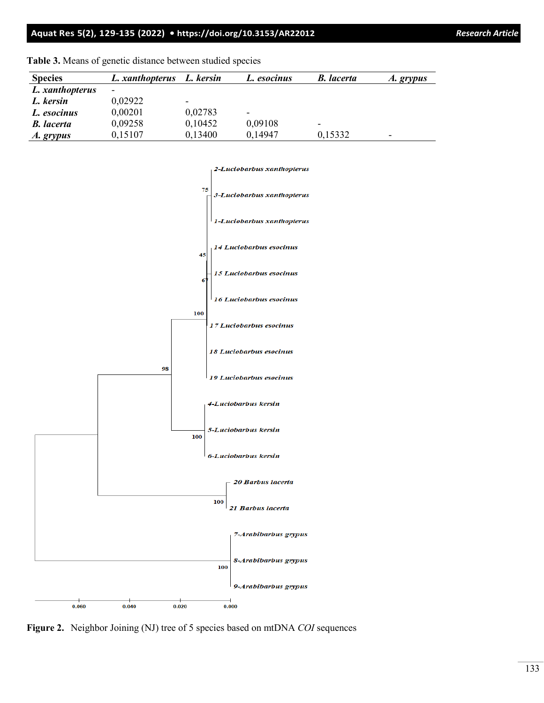### **Aquat Res 5(2), 129-135 (2022) •<https://doi.org/10.3153/AR22012>***Research Article*

| <b>Species</b>    | L. xanthopterus | L. kersin                | L. esocinus              | <b>B.</b> lacerta        | A. grypus                |
|-------------------|-----------------|--------------------------|--------------------------|--------------------------|--------------------------|
| L. xanthopterus   |                 |                          |                          |                          |                          |
| L. kersin         | 0,02922         | $\overline{\phantom{0}}$ |                          |                          |                          |
| L. esocinus       | 0,00201         | 0,02783                  | $\overline{\phantom{0}}$ |                          |                          |
| <b>B.</b> lacerta | 0,09258         | 0,10452                  | 0,09108                  | $\overline{\phantom{0}}$ |                          |
| A. grypus         | 0,15107         | 0,13400                  | 0,14947                  | 0,15332                  | $\overline{\phantom{a}}$ |

**Table 3.** Means of genetic distance between studied species



**Figure 2.** Neighbor Joining (NJ) tree of 5 species based on mtDNA *COI* sequences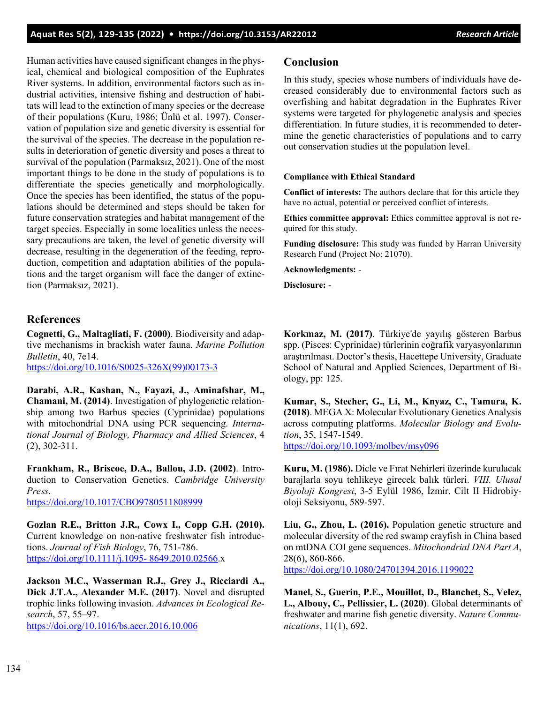## **Aquat Res 5(2), 129-135 (2022) • <https://doi.org/10.3153/AR22012>***Research Article*

Human activities have caused significant changes in the physical, chemical and biological composition of the Euphrates River systems. In addition, environmental factors such as industrial activities, intensive fishing and destruction of habitats will lead to the extinction of many species or the decrease of their populations (Kuru, 1986; Ünlü et al. 1997). Conservation of population size and genetic diversity is essential for the survival of the species. The decrease in the population results in deterioration of genetic diversity and poses a threat to survival of the population (Parmaksız, 2021). One of the most important things to be done in the study of populations is to differentiate the species genetically and morphologically. Once the species has been identified, the status of the populations should be determined and steps should be taken for future conservation strategies and habitat management of the target species. Especially in some localities unless the necessary precautions are taken, the level of genetic diversity will decrease, resulting in the degeneration of the feeding, reproduction, competition and adaptation abilities of the populations and the target organism will face the danger of extinction (Parmaksız, 2021).

## **References**

(2), 302-311.

**Cognetti, G., Maltagliati, F. (2000)**. Biodiversity and adaptive mechanisms in brackish water fauna. *Marine Pollution Bulletin*, 40, 7e14. [https://doi.org/10.1016/S0025](https://doi.org/10.1016/S0025-326X(99)00173-3)-326X(99)00173-3

**Darabi, A.R., Kashan, N., Fayazi, J., Aminafshar, M., Chamani, M. (2014)**. Investigation of phylogenetic relationship among two Barbus species (Cyprinidae) populations with mitochondrial DNA using PCR sequencing. *Interna-*

**Frankham, R., Briscoe, D.A., Ballou, J.D. (2002)**. Introduction to Conservation Genetics. *Cambridge University Press*.

*tional Journal of Biology, Pharmacy and Allied Sciences*, 4

<https://doi.org/10.1017/CBO9780511808999>

**Gozlan R.E., Britton J.R., Cowx I., Copp G.H. (2010).** Current knowledge on non-native freshwater fish introductions. *Journal of Fish Biology*, 76, 751-786. [https://doi.org/10.1111/j.1095](https://doi.org/10.1111/j.1095-%208649.2010.02566)- 8649.2010.02566.x

**Jackson M.C., Wasserman R.J., Grey J., Ricciardi A., Dick J.T.A., Alexander M.E. (2017)**. Novel and disrupted trophic links following invasion. *Advances in Ecological Research*, 57, 55–97. <https://doi.org/10.1016/bs.aecr.2016.10.006>

#### **Conclusion**

In this study, species whose numbers of individuals have decreased considerably due to environmental factors such as overfishing and habitat degradation in the Euphrates River systems were targeted for phylogenetic analysis and species differentiation. In future studies, it is recommended to determine the genetic characteristics of populations and to carry out conservation studies at the population level.

#### **Compliance with Ethical Standard**

**Conflict of interests:** The authors declare that for this article they have no actual, potential or perceived conflict of interests.

**Ethics committee approval:** Ethics committee approval is not required for this study.

**Funding disclosure:** This study was funded by Harran University Research Fund (Project No: 21070).

**Acknowledgments:** -

**Disclosure:** -

**Korkmaz, M. (2017)**. Türkiye'de yayılış gösteren Barbus spp. (Pisces: Cyprinidae) türlerinin coğrafik varyasyonlarının araştırılması. Doctor's thesis, Hacettepe University, Graduate School of Natural and Applied Sciences, Department of Biology, pp: 125.

**Kumar, S., Stecher, G., Li, M., Knyaz, C., Tamura, K. (2018)**. MEGA X: Molecular Evolutionary Genetics Analysis across computing platforms. *Molecular Biology and Evolution*, 35, 1547-1549.

<https://doi.org/10.1093/molbev/msy096>

**Kuru, M. (1986).** Dicle ve Fırat Nehirleri üzerinde kurulacak barajlarla soyu tehlikeye girecek balık türleri. *VIII. Ulusal Biyoloji Kongresi*, 3-5 Eylül 1986, İzmir. Cilt II Hidrobiyoloji Seksiyonu, 589-597.

**Liu, G., Zhou, L. (2016).** Population genetic structure and molecular diversity of the red swamp crayfish in China based on mtDNA COI gene sequences. *Mitochondrial DNA Part A*, 28(6), 860-866. <https://doi.org/10.1080/24701394.2016.1199022>

**Manel, S., Guerin, P.E., Mouillot, D., Blanchet, S., Velez, L., Albouy, C., Pellissier, L. (2020)**. Global determinants of freshwater and marine fish genetic diversity. *Nature Communications*, 11(1), 692.